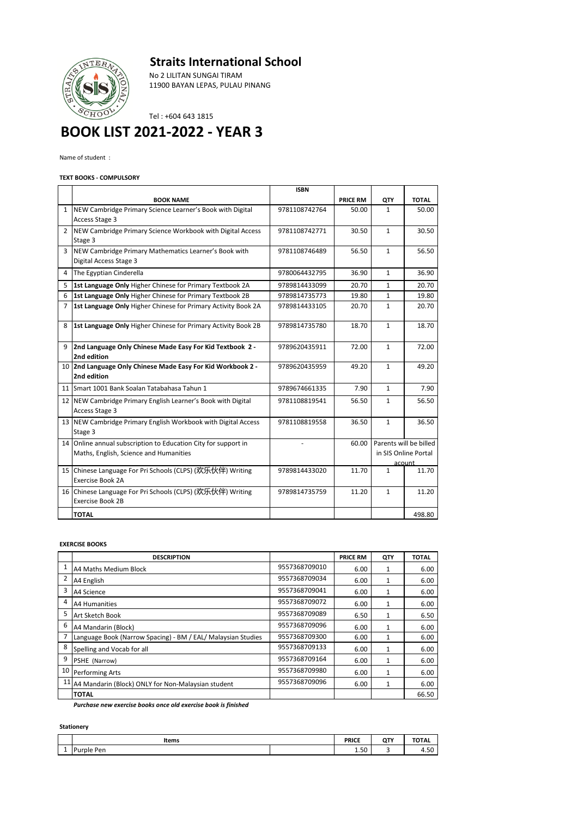# **Straits International School**



No 2 LILITAN SUNGAI TIRAM 11900 BAYAN LEPAS, PULAU PINANG

Tel : +604 643 1815

# **BOOK LIST 2021-2022 - YEAR 3**

Name of student :

## **TEXT BOOKS - COMPULSORY**

|   |                                                                               | <b>ISBN</b>   |                 |              |                        |
|---|-------------------------------------------------------------------------------|---------------|-----------------|--------------|------------------------|
|   | <b>BOOK NAME</b>                                                              |               | <b>PRICE RM</b> | QTY          | <b>TOTAL</b>           |
|   | 1 NEW Cambridge Primary Science Learner's Book with Digital                   | 9781108742764 | 50.00           | 1            | 50.00                  |
|   | Access Stage 3                                                                |               |                 |              |                        |
| 2 | NEW Cambridge Primary Science Workbook with Digital Access                    | 9781108742771 | 30.50           | 1            | 30.50                  |
|   | Stage 3                                                                       |               |                 |              |                        |
| 3 | NEW Cambridge Primary Mathematics Learner's Book with                         | 9781108746489 | 56.50           | $\mathbf{1}$ | 56.50                  |
|   | Digital Access Stage 3                                                        |               |                 |              |                        |
| 4 | The Egyptian Cinderella                                                       | 9780064432795 | 36.90           | $\mathbf{1}$ | 36.90                  |
| 5 | 1st Language Only Higher Chinese for Primary Textbook 2A                      | 9789814433099 | 20.70           | $\mathbf{1}$ | 20.70                  |
| 6 | 1st Language Only Higher Chinese for Primary Textbook 2B                      | 9789814735773 | 19.80           | $\mathbf{1}$ | 19.80                  |
| 7 | 1st Language Only Higher Chinese for Primary Activity Book 2A                 | 9789814433105 | 20.70           | $\mathbf{1}$ | 20.70                  |
| 8 |                                                                               | 9789814735780 | 18.70           | $\mathbf{1}$ | 18.70                  |
|   | 1st Language Only Higher Chinese for Primary Activity Book 2B                 |               |                 |              |                        |
| 9 | 2nd Language Only Chinese Made Easy For Kid Textbook 2 -                      | 9789620435911 | 72.00           | $\mathbf{1}$ | 72.00                  |
|   | 2nd edition                                                                   |               |                 |              |                        |
|   | 10 2nd Language Only Chinese Made Easy For Kid Workbook 2 -                   | 9789620435959 | 49.20           | $\mathbf{1}$ | 49.20                  |
|   | 2nd edition                                                                   |               |                 |              |                        |
|   | 11 Smart 1001 Bank Soalan Tatabahasa Tahun 1                                  | 9789674661335 | 7.90            | $\mathbf{1}$ | 7.90                   |
|   | 12 NEW Cambridge Primary English Learner's Book with Digital                  | 9781108819541 | 56.50           | $\mathbf{1}$ | 56.50                  |
|   | Access Stage 3                                                                |               |                 |              |                        |
|   | 13 NEW Cambridge Primary English Workbook with Digital Access                 | 9781108819558 | 36.50           | $\mathbf{1}$ | 36.50                  |
|   | Stage 3                                                                       |               |                 |              |                        |
|   | 14 Online annual subscription to Education City for support in                |               | 60.00           |              | Parents will be billed |
|   | Maths, English, Science and Humanities                                        |               |                 |              | in SIS Online Portal   |
|   |                                                                               |               |                 |              | acount                 |
|   | 15 Chinese Language For Pri Schools (CLPS) (欢乐伙伴) Writing<br>Exercise Book 2A | 9789814433020 | 11.70           | $\mathbf{1}$ | 11.70                  |
|   | 16 Chinese Language For Pri Schools (CLPS) (欢乐伙伴) Writing                     | 9789814735759 | 11.20           | $\mathbf{1}$ | 11.20                  |
|   | Exercise Book 2B                                                              |               |                 |              |                        |
|   | <b>TOTAL</b>                                                                  |               |                 |              | 498.80                 |

### **EXERCISE BOOKS**

|    | <b>DESCRIPTION</b>                                           |               | <b>PRICE RM</b> | QTY          | <b>TOTAL</b> |
|----|--------------------------------------------------------------|---------------|-----------------|--------------|--------------|
|    | A4 Maths Medium Block                                        | 9557368709010 | 6.00            | 1            | 6.00         |
|    | A4 English                                                   | 9557368709034 | 6.00            | $\mathbf{1}$ | 6.00         |
| 3  | A4 Science                                                   | 9557368709041 | 6.00            | $\mathbf{1}$ | 6.00         |
| 4  | A4 Humanities                                                | 9557368709072 | 6.00            | $\mathbf{1}$ | 6.00         |
| 5  | Art Sketch Book                                              | 9557368709089 | 6.50            | $\mathbf{1}$ | 6.50         |
| 6  | A4 Mandarin (Block)                                          | 9557368709096 | 6.00            | $\mathbf{1}$ | 6.00         |
|    | Language Book (Narrow Spacing) - BM / EAL/ Malaysian Studies | 9557368709300 | 6.00            | $\mathbf{1}$ | 6.00         |
| 8  | Spelling and Vocab for all                                   | 9557368709133 | 6.00            | $\mathbf{1}$ | 6.00         |
| 9  | PSHE (Narrow)                                                | 9557368709164 | 6.00            | $\mathbf{1}$ | 6.00         |
| 10 | Performing Arts                                              | 9557368709980 | 6.00            | $\mathbf{1}$ | 6.00         |
|    | 11 A4 Mandarin (Block) ONLY for Non-Malaysian student        | 9557368709096 | 6.00            | 1            | 6.00         |
|    | <b>TOTAL</b>                                                 |               |                 |              | 66.50        |

*Purchase new exercise books once old exercise book is finished* 

#### **Stationery**

|   | Items         |  | <b>PRICE</b> | <b>OTV</b><br>u | <b>TOTAL</b>   |
|---|---------------|--|--------------|-----------------|----------------|
| - | Purple<br>Per |  | 1.50         |                 | $\sim$<br>4.SU |